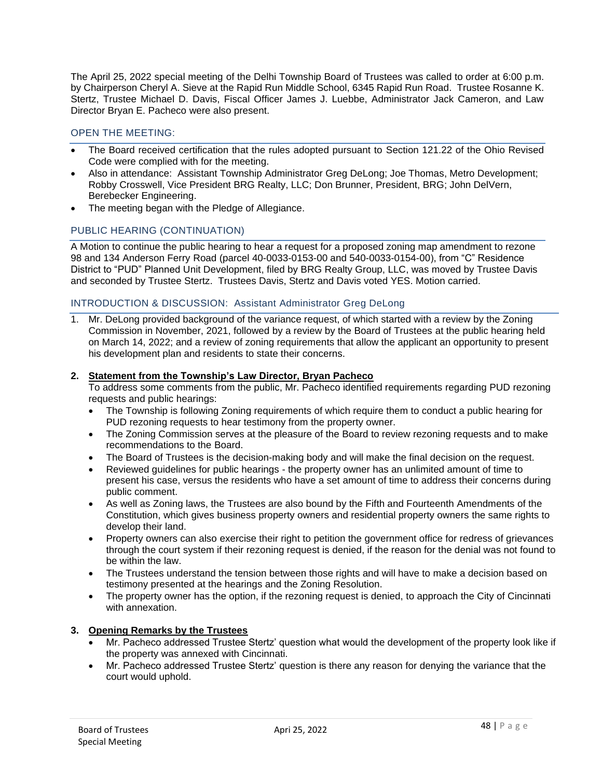The April 25, 2022 special meeting of the Delhi Township Board of Trustees was called to order at 6:00 p.m. by Chairperson Cheryl A. Sieve at the Rapid Run Middle School, 6345 Rapid Run Road. Trustee Rosanne K. Stertz, Trustee Michael D. Davis, Fiscal Officer James J. Luebbe, Administrator Jack Cameron, and Law Director Bryan E. Pacheco were also present.

## OPEN THE MEETING:

- The Board received certification that the rules adopted pursuant to Section 121.22 of the Ohio Revised Code were complied with for the meeting.
- Also in attendance: Assistant Township Administrator Greg DeLong; Joe Thomas, Metro Development; Robby Crosswell, Vice President BRG Realty, LLC; Don Brunner, President, BRG; John DelVern, Berebecker Engineering.
- The meeting began with the Pledge of Allegiance.

## PUBLIC HEARING (CONTINUATION)

A Motion to continue the public hearing to hear a request for a proposed zoning map amendment to rezone 98 and 134 Anderson Ferry Road (parcel 40-0033-0153-00 and 540-0033-0154-00), from "C" Residence District to "PUD" Planned Unit Development, filed by BRG Realty Group, LLC, was moved by Trustee Davis and seconded by Trustee Stertz. Trustees Davis, Stertz and Davis voted YES. Motion carried.

### INTRODUCTION & DISCUSSION: Assistant Administrator Greg DeLong

1. Mr. DeLong provided background of the variance request, of which started with a review by the Zoning Commission in November, 2021, followed by a review by the Board of Trustees at the public hearing held on March 14, 2022; and a review of zoning requirements that allow the applicant an opportunity to present his development plan and residents to state their concerns.

#### **2. Statement from the Township's Law Director, Bryan Pacheco**

To address some comments from the public, Mr. Pacheco identified requirements regarding PUD rezoning requests and public hearings:

- The Township is following Zoning requirements of which require them to conduct a public hearing for PUD rezoning requests to hear testimony from the property owner.
- The Zoning Commission serves at the pleasure of the Board to review rezoning requests and to make recommendations to the Board.
- The Board of Trustees is the decision-making body and will make the final decision on the request.
- Reviewed guidelines for public hearings the property owner has an unlimited amount of time to present his case, versus the residents who have a set amount of time to address their concerns during public comment.
- As well as Zoning laws, the Trustees are also bound by the Fifth and Fourteenth Amendments of the Constitution, which gives business property owners and residential property owners the same rights to develop their land.
- Property owners can also exercise their right to petition the government office for redress of grievances through the court system if their rezoning request is denied, if the reason for the denial was not found to be within the law.
- The Trustees understand the tension between those rights and will have to make a decision based on testimony presented at the hearings and the Zoning Resolution.
- The property owner has the option, if the rezoning request is denied, to approach the City of Cincinnati with annexation.

### **3. Opening Remarks by the Trustees**

- Mr. Pacheco addressed Trustee Stertz' question what would the development of the property look like if the property was annexed with Cincinnati.
- Mr. Pacheco addressed Trustee Stertz' question is there any reason for denying the variance that the court would uphold.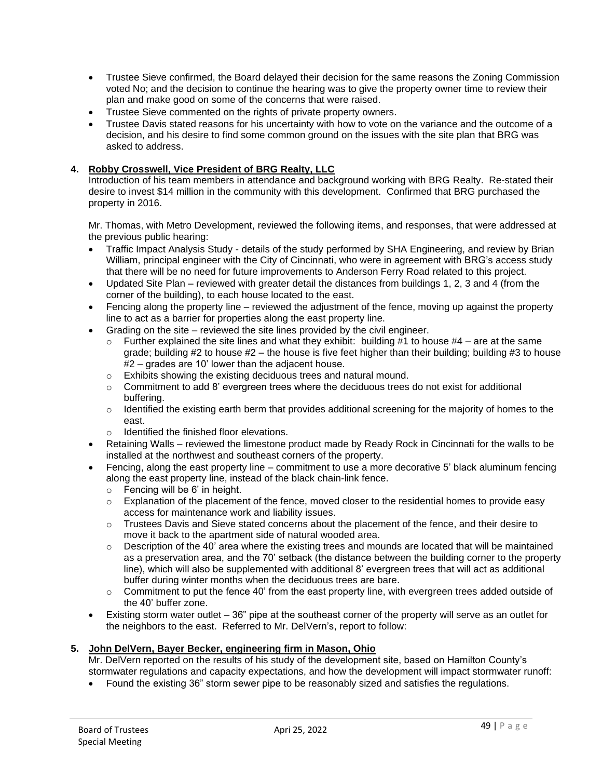- Trustee Sieve confirmed, the Board delayed their decision for the same reasons the Zoning Commission voted No; and the decision to continue the hearing was to give the property owner time to review their plan and make good on some of the concerns that were raised.
- Trustee Sieve commented on the rights of private property owners.
- Trustee Davis stated reasons for his uncertainty with how to vote on the variance and the outcome of a decision, and his desire to find some common ground on the issues with the site plan that BRG was asked to address.

### **4. Robby Crosswell, Vice President of BRG Realty, LLC**

Introduction of his team members in attendance and background working with BRG Realty. Re-stated their desire to invest \$14 million in the community with this development. Confirmed that BRG purchased the property in 2016.

Mr. Thomas, with Metro Development, reviewed the following items, and responses, that were addressed at the previous public hearing:

- Traffic Impact Analysis Study details of the study performed by SHA Engineering, and review by Brian William, principal engineer with the City of Cincinnati, who were in agreement with BRG's access study that there will be no need for future improvements to Anderson Ferry Road related to this project.
- Updated Site Plan reviewed with greater detail the distances from buildings 1, 2, 3 and 4 (from the corner of the building), to each house located to the east.
- Fencing along the property line reviewed the adjustment of the fence, moving up against the property line to act as a barrier for properties along the east property line.
- Grading on the site reviewed the site lines provided by the civil engineer.
	- $\circ$  Further explained the site lines and what they exhibit: building #1 to house #4 are at the same grade; building  $#2$  to house  $#2$  – the house is five feet higher than their building; building  $#3$  to house #2 – grades are 10' lower than the adjacent house.
	- o Exhibits showing the existing deciduous trees and natural mound.
	- $\circ$  Commitment to add 8' evergreen trees where the deciduous trees do not exist for additional buffering.
	- $\circ$  Identified the existing earth berm that provides additional screening for the majority of homes to the east.
	- o Identified the finished floor elevations.
- Retaining Walls reviewed the limestone product made by Ready Rock in Cincinnati for the walls to be installed at the northwest and southeast corners of the property.
- Fencing, along the east property line commitment to use a more decorative 5' black aluminum fencing along the east property line, instead of the black chain-link fence.
	- $\circ$  Fencing will be 6' in height.
	- $\circ$  Explanation of the placement of the fence, moved closer to the residential homes to provide easy access for maintenance work and liability issues.
	- o Trustees Davis and Sieve stated concerns about the placement of the fence, and their desire to move it back to the apartment side of natural wooded area.
	- $\circ$  Description of the 40<sup>'</sup> area where the existing trees and mounds are located that will be maintained as a preservation area, and the 70' setback (the distance between the building corner to the property line), which will also be supplemented with additional 8' evergreen trees that will act as additional buffer during winter months when the deciduous trees are bare.
	- $\circ$  Commitment to put the fence 40' from the east property line, with evergreen trees added outside of the 40' buffer zone.
- Existing storm water outlet 36" pipe at the southeast corner of the property will serve as an outlet for the neighbors to the east. Referred to Mr. DelVern's, report to follow:

### **5. John DelVern, Bayer Becker, engineering firm in Mason, Ohio**

Mr. DelVern reported on the results of his study of the development site, based on Hamilton County's stormwater regulations and capacity expectations, and how the development will impact stormwater runoff:

• Found the existing 36" storm sewer pipe to be reasonably sized and satisfies the regulations.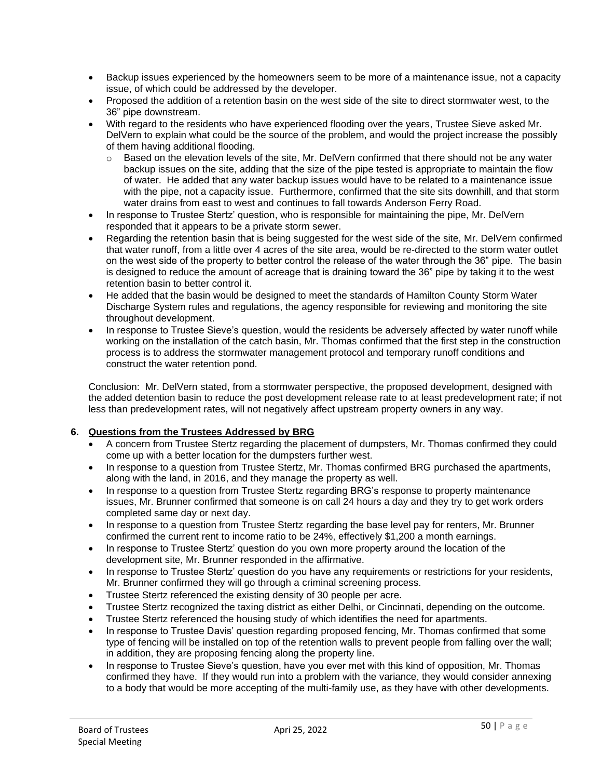- Backup issues experienced by the homeowners seem to be more of a maintenance issue, not a capacity issue, of which could be addressed by the developer.
- Proposed the addition of a retention basin on the west side of the site to direct stormwater west, to the 36" pipe downstream.
- With regard to the residents who have experienced flooding over the years, Trustee Sieve asked Mr. DelVern to explain what could be the source of the problem, and would the project increase the possibly of them having additional flooding.
	- o Based on the elevation levels of the site, Mr. DelVern confirmed that there should not be any water backup issues on the site, adding that the size of the pipe tested is appropriate to maintain the flow of water. He added that any water backup issues would have to be related to a maintenance issue with the pipe, not a capacity issue. Furthermore, confirmed that the site sits downhill, and that storm water drains from east to west and continues to fall towards Anderson Ferry Road.
- In response to Trustee Stertz' question, who is responsible for maintaining the pipe, Mr. DelVern responded that it appears to be a private storm sewer.
- Regarding the retention basin that is being suggested for the west side of the site, Mr. DelVern confirmed that water runoff, from a little over 4 acres of the site area, would be re-directed to the storm water outlet on the west side of the property to better control the release of the water through the 36" pipe. The basin is designed to reduce the amount of acreage that is draining toward the 36" pipe by taking it to the west retention basin to better control it.
- He added that the basin would be designed to meet the standards of Hamilton County Storm Water Discharge System rules and regulations, the agency responsible for reviewing and monitoring the site throughout development.
- In response to Trustee Sieve's question, would the residents be adversely affected by water runoff while working on the installation of the catch basin, Mr. Thomas confirmed that the first step in the construction process is to address the stormwater management protocol and temporary runoff conditions and construct the water retention pond.

Conclusion: Mr. DelVern stated, from a stormwater perspective, the proposed development, designed with the added detention basin to reduce the post development release rate to at least predevelopment rate; if not less than predevelopment rates, will not negatively affect upstream property owners in any way.

# **6. Questions from the Trustees Addressed by BRG**

- A concern from Trustee Stertz regarding the placement of dumpsters, Mr. Thomas confirmed they could come up with a better location for the dumpsters further west.
- In response to a question from Trustee Stertz, Mr. Thomas confirmed BRG purchased the apartments, along with the land, in 2016, and they manage the property as well.
- In response to a question from Trustee Stertz regarding BRG's response to property maintenance issues, Mr. Brunner confirmed that someone is on call 24 hours a day and they try to get work orders completed same day or next day.
- In response to a question from Trustee Stertz regarding the base level pay for renters, Mr. Brunner confirmed the current rent to income ratio to be 24%, effectively \$1,200 a month earnings.
- In response to Trustee Stertz' question do you own more property around the location of the development site, Mr. Brunner responded in the affirmative.
- In response to Trustee Stertz' question do you have any requirements or restrictions for your residents, Mr. Brunner confirmed they will go through a criminal screening process.
- Trustee Stertz referenced the existing density of 30 people per acre.
- Trustee Stertz recognized the taxing district as either Delhi, or Cincinnati, depending on the outcome.
- Trustee Stertz referenced the housing study of which identifies the need for apartments.
- In response to Trustee Davis' question regarding proposed fencing, Mr. Thomas confirmed that some type of fencing will be installed on top of the retention walls to prevent people from falling over the wall; in addition, they are proposing fencing along the property line.
- In response to Trustee Sieve's question, have you ever met with this kind of opposition, Mr. Thomas confirmed they have. If they would run into a problem with the variance, they would consider annexing to a body that would be more accepting of the multi-family use, as they have with other developments.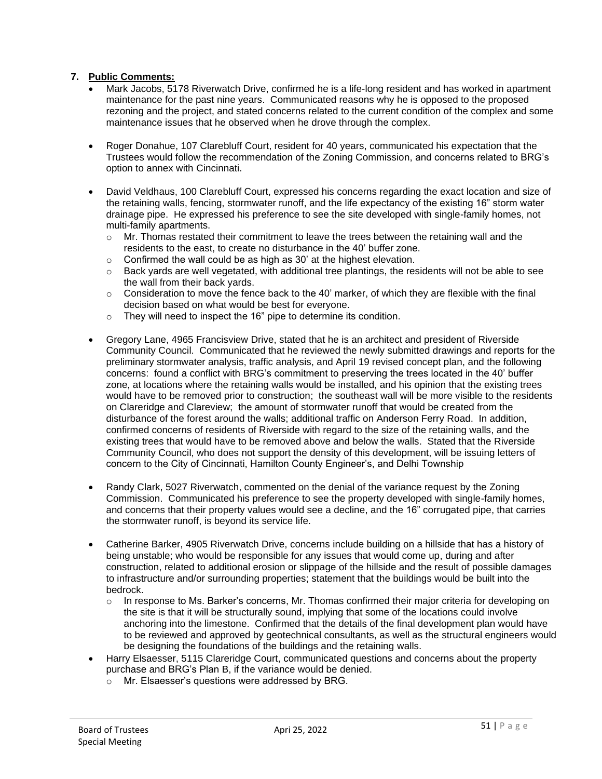### **7. Public Comments:**

- Mark Jacobs, 5178 Riverwatch Drive, confirmed he is a life-long resident and has worked in apartment maintenance for the past nine years. Communicated reasons why he is opposed to the proposed rezoning and the project, and stated concerns related to the current condition of the complex and some maintenance issues that he observed when he drove through the complex.
- Roger Donahue, 107 Clarebluff Court, resident for 40 years, communicated his expectation that the Trustees would follow the recommendation of the Zoning Commission, and concerns related to BRG's option to annex with Cincinnati.
- David Veldhaus, 100 Clarebluff Court, expressed his concerns regarding the exact location and size of the retaining walls, fencing, stormwater runoff, and the life expectancy of the existing 16" storm water drainage pipe. He expressed his preference to see the site developed with single-family homes, not multi-family apartments.
	- $\circ$  Mr. Thomas restated their commitment to leave the trees between the retaining wall and the residents to the east, to create no disturbance in the 40' buffer zone.
	- $\circ$  Confirmed the wall could be as high as 30' at the highest elevation.
	- o Back yards are well vegetated, with additional tree plantings, the residents will not be able to see the wall from their back yards.
	- $\circ$  Consideration to move the fence back to the 40' marker, of which they are flexible with the final decision based on what would be best for everyone.
	- $\circ$  They will need to inspect the 16" pipe to determine its condition.
- Gregory Lane, 4965 Francisview Drive, stated that he is an architect and president of Riverside Community Council. Communicated that he reviewed the newly submitted drawings and reports for the preliminary stormwater analysis, traffic analysis, and April 19 revised concept plan, and the following concerns: found a conflict with BRG's commitment to preserving the trees located in the 40' buffer zone, at locations where the retaining walls would be installed, and his opinion that the existing trees would have to be removed prior to construction; the southeast wall will be more visible to the residents on Clareridge and Clareview; the amount of stormwater runoff that would be created from the disturbance of the forest around the walls; additional traffic on Anderson Ferry Road. In addition, confirmed concerns of residents of Riverside with regard to the size of the retaining walls, and the existing trees that would have to be removed above and below the walls. Stated that the Riverside Community Council, who does not support the density of this development, will be issuing letters of concern to the City of Cincinnati, Hamilton County Engineer's, and Delhi Township
- Randy Clark, 5027 Riverwatch, commented on the denial of the variance request by the Zoning Commission. Communicated his preference to see the property developed with single-family homes, and concerns that their property values would see a decline, and the 16" corrugated pipe, that carries the stormwater runoff, is beyond its service life.
- Catherine Barker, 4905 Riverwatch Drive, concerns include building on a hillside that has a history of being unstable; who would be responsible for any issues that would come up, during and after construction, related to additional erosion or slippage of the hillside and the result of possible damages to infrastructure and/or surrounding properties; statement that the buildings would be built into the bedrock.
	- o In response to Ms. Barker's concerns, Mr. Thomas confirmed their major criteria for developing on the site is that it will be structurally sound, implying that some of the locations could involve anchoring into the limestone. Confirmed that the details of the final development plan would have to be reviewed and approved by geotechnical consultants, as well as the structural engineers would be designing the foundations of the buildings and the retaining walls.
- Harry Elsaesser, 5115 Clareridge Court, communicated questions and concerns about the property purchase and BRG's Plan B, if the variance would be denied.
	- o Mr. Elsaesser's questions were addressed by BRG.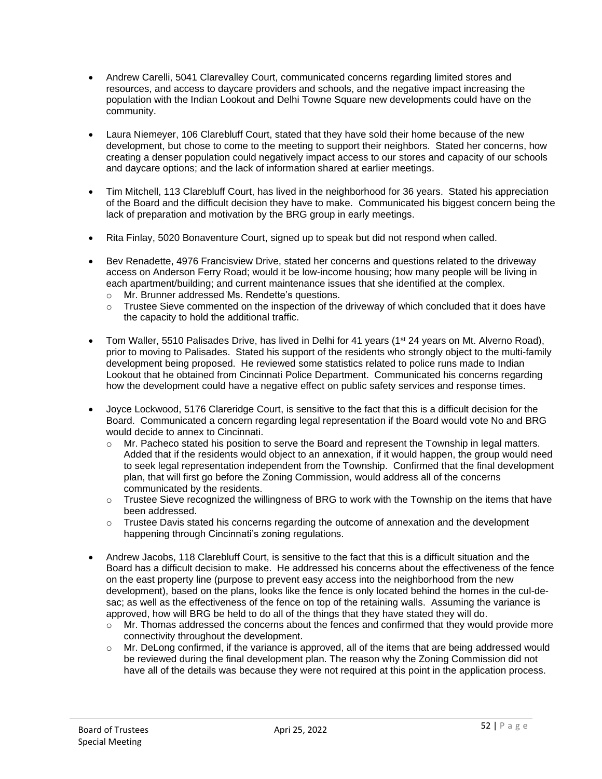- Andrew Carelli, 5041 Clarevalley Court, communicated concerns regarding limited stores and resources, and access to daycare providers and schools, and the negative impact increasing the population with the Indian Lookout and Delhi Towne Square new developments could have on the community.
- Laura Niemeyer, 106 Clarebluff Court, stated that they have sold their home because of the new development, but chose to come to the meeting to support their neighbors. Stated her concerns, how creating a denser population could negatively impact access to our stores and capacity of our schools and daycare options; and the lack of information shared at earlier meetings.
- Tim Mitchell, 113 Clarebluff Court, has lived in the neighborhood for 36 years. Stated his appreciation of the Board and the difficult decision they have to make. Communicated his biggest concern being the lack of preparation and motivation by the BRG group in early meetings.
- Rita Finlay, 5020 Bonaventure Court, signed up to speak but did not respond when called.
- Bev Renadette, 4976 Francisview Drive, stated her concerns and questions related to the driveway access on Anderson Ferry Road; would it be low-income housing; how many people will be living in each apartment/building; and current maintenance issues that she identified at the complex.
	- o Mr. Brunner addressed Ms. Rendette's questions.
	- $\circ$  Trustee Sieve commented on the inspection of the driveway of which concluded that it does have the capacity to hold the additional traffic.
- Tom Waller, 5510 Palisades Drive, has lived in Delhi for 41 years (1<sup>st</sup> 24 years on Mt. Alverno Road), prior to moving to Palisades. Stated his support of the residents who strongly object to the multi-family development being proposed. He reviewed some statistics related to police runs made to Indian Lookout that he obtained from Cincinnati Police Department. Communicated his concerns regarding how the development could have a negative effect on public safety services and response times.
- Joyce Lockwood, 5176 Clareridge Court, is sensitive to the fact that this is a difficult decision for the Board. Communicated a concern regarding legal representation if the Board would vote No and BRG would decide to annex to Cincinnati.
	- o Mr. Pacheco stated his position to serve the Board and represent the Township in legal matters. Added that if the residents would object to an annexation, if it would happen, the group would need to seek legal representation independent from the Township. Confirmed that the final development plan, that will first go before the Zoning Commission, would address all of the concerns communicated by the residents.
	- $\circ$  Trustee Sieve recognized the willingness of BRG to work with the Township on the items that have been addressed.
	- o Trustee Davis stated his concerns regarding the outcome of annexation and the development happening through Cincinnati's zoning regulations.
- Andrew Jacobs, 118 Clarebluff Court, is sensitive to the fact that this is a difficult situation and the Board has a difficult decision to make. He addressed his concerns about the effectiveness of the fence on the east property line (purpose to prevent easy access into the neighborhood from the new development), based on the plans, looks like the fence is only located behind the homes in the cul-desac; as well as the effectiveness of the fence on top of the retaining walls. Assuming the variance is approved, how will BRG be held to do all of the things that they have stated they will do.
	- $\circ$  Mr. Thomas addressed the concerns about the fences and confirmed that they would provide more connectivity throughout the development.
	- o Mr. DeLong confirmed, if the variance is approved, all of the items that are being addressed would be reviewed during the final development plan. The reason why the Zoning Commission did not have all of the details was because they were not required at this point in the application process.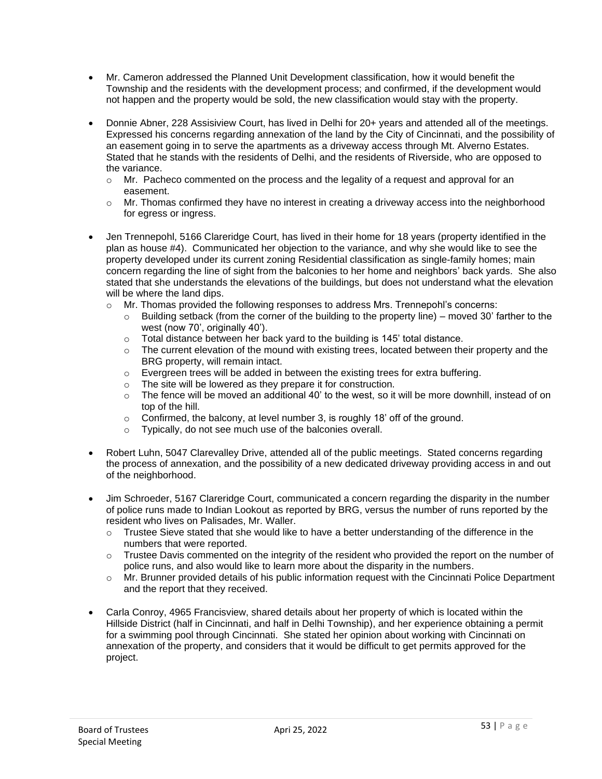- Mr. Cameron addressed the Planned Unit Development classification, how it would benefit the Township and the residents with the development process; and confirmed, if the development would not happen and the property would be sold, the new classification would stay with the property.
- Donnie Abner, 228 Assisiview Court, has lived in Delhi for 20+ years and attended all of the meetings. Expressed his concerns regarding annexation of the land by the City of Cincinnati, and the possibility of an easement going in to serve the apartments as a driveway access through Mt. Alverno Estates. Stated that he stands with the residents of Delhi, and the residents of Riverside, who are opposed to the variance.
	- $\circ$  Mr. Pacheco commented on the process and the legality of a request and approval for an easement.
	- o Mr. Thomas confirmed they have no interest in creating a driveway access into the neighborhood for egress or ingress.
- Jen Trennepohl, 5166 Clareridge Court, has lived in their home for 18 years (property identified in the plan as house #4). Communicated her objection to the variance, and why she would like to see the property developed under its current zoning Residential classification as single-family homes; main concern regarding the line of sight from the balconies to her home and neighbors' back yards. She also stated that she understands the elevations of the buildings, but does not understand what the elevation will be where the land dips.
	- $\circ$  Mr. Thomas provided the following responses to address Mrs. Trennepohl's concerns:
		- $\circ$  Building setback (from the corner of the building to the property line) moved 30' farther to the west (now 70', originally 40').
		- o Total distance between her back yard to the building is 145' total distance.
		- $\circ$  The current elevation of the mound with existing trees, located between their property and the BRG property, will remain intact.
		- o Evergreen trees will be added in between the existing trees for extra buffering.
		- o The site will be lowered as they prepare it for construction.
		- $\circ$  The fence will be moved an additional 40' to the west, so it will be more downhill, instead of on top of the hill.
		- o Confirmed, the balcony, at level number 3, is roughly 18' off of the ground.
		- o Typically, do not see much use of the balconies overall.
- Robert Luhn, 5047 Clarevalley Drive, attended all of the public meetings. Stated concerns regarding the process of annexation, and the possibility of a new dedicated driveway providing access in and out of the neighborhood.
- Jim Schroeder, 5167 Clareridge Court, communicated a concern regarding the disparity in the number of police runs made to Indian Lookout as reported by BRG, versus the number of runs reported by the resident who lives on Palisades, Mr. Waller.
	- $\circ$  Trustee Sieve stated that she would like to have a better understanding of the difference in the numbers that were reported.
	- $\circ$  Trustee Davis commented on the integrity of the resident who provided the report on the number of police runs, and also would like to learn more about the disparity in the numbers.
	- o Mr. Brunner provided details of his public information request with the Cincinnati Police Department and the report that they received.
- Carla Conroy, 4965 Francisview, shared details about her property of which is located within the Hillside District (half in Cincinnati, and half in Delhi Township), and her experience obtaining a permit for a swimming pool through Cincinnati. She stated her opinion about working with Cincinnati on annexation of the property, and considers that it would be difficult to get permits approved for the project.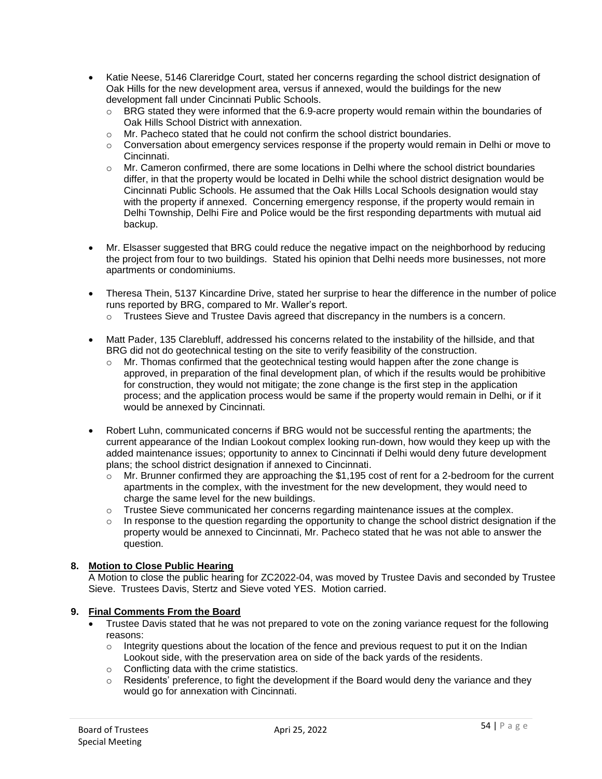- Katie Neese, 5146 Clareridge Court, stated her concerns regarding the school district designation of Oak Hills for the new development area, versus if annexed, would the buildings for the new development fall under Cincinnati Public Schools.
	- $\circ$  BRG stated they were informed that the 6.9-acre property would remain within the boundaries of Oak Hills School District with annexation.
	- $\circ$  Mr. Pacheco stated that he could not confirm the school district boundaries.
	- $\circ$  Conversation about emergency services response if the property would remain in Delhi or move to Cincinnati.
	- $\circ$  Mr. Cameron confirmed, there are some locations in Delhi where the school district boundaries differ, in that the property would be located in Delhi while the school district designation would be Cincinnati Public Schools. He assumed that the Oak Hills Local Schools designation would stay with the property if annexed. Concerning emergency response, if the property would remain in Delhi Township, Delhi Fire and Police would be the first responding departments with mutual aid backup.
- Mr. Elsasser suggested that BRG could reduce the negative impact on the neighborhood by reducing the project from four to two buildings. Stated his opinion that Delhi needs more businesses, not more apartments or condominiums.
- Theresa Thein, 5137 Kincardine Drive, stated her surprise to hear the difference in the number of police runs reported by BRG, compared to Mr. Waller's report.
	- $\circ$  Trustees Sieve and Trustee Davis agreed that discrepancy in the numbers is a concern.
- Matt Pader, 135 Clarebluff, addressed his concerns related to the instability of the hillside, and that BRG did not do geotechnical testing on the site to verify feasibility of the construction.
	- o Mr. Thomas confirmed that the geotechnical testing would happen after the zone change is approved, in preparation of the final development plan, of which if the results would be prohibitive for construction, they would not mitigate; the zone change is the first step in the application process; and the application process would be same if the property would remain in Delhi, or if it would be annexed by Cincinnati.
- Robert Luhn, communicated concerns if BRG would not be successful renting the apartments; the current appearance of the Indian Lookout complex looking run-down, how would they keep up with the added maintenance issues; opportunity to annex to Cincinnati if Delhi would deny future development plans; the school district designation if annexed to Cincinnati.
	- $\circ$  Mr. Brunner confirmed they are approaching the \$1,195 cost of rent for a 2-bedroom for the current apartments in the complex, with the investment for the new development, they would need to charge the same level for the new buildings.
	- $\circ$  Trustee Sieve communicated her concerns regarding maintenance issues at the complex.
	- $\circ$  In response to the question regarding the opportunity to change the school district designation if the property would be annexed to Cincinnati, Mr. Pacheco stated that he was not able to answer the question.

# **8. Motion to Close Public Hearing**

A Motion to close the public hearing for ZC2022-04, was moved by Trustee Davis and seconded by Trustee Sieve. Trustees Davis, Stertz and Sieve voted YES. Motion carried.

### **9. Final Comments From the Board**

- Trustee Davis stated that he was not prepared to vote on the zoning variance request for the following reasons:
	- $\circ$  Integrity questions about the location of the fence and previous request to put it on the Indian Lookout side, with the preservation area on side of the back yards of the residents.
	- o Conflicting data with the crime statistics.
	- $\circ$  Residents' preference, to fight the development if the Board would deny the variance and they would go for annexation with Cincinnati.